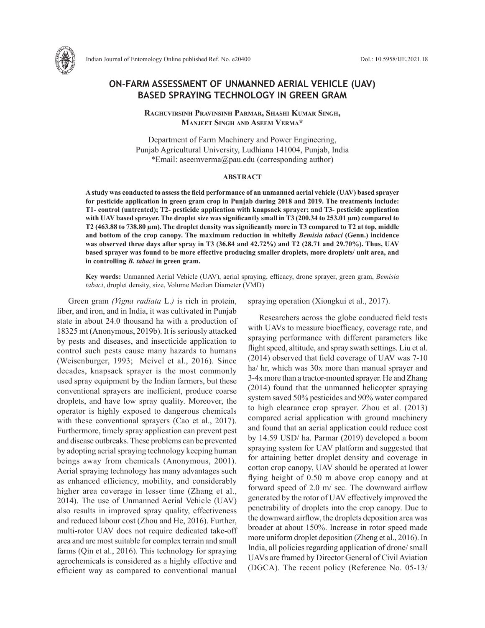

# **ON-FARM ASSESSMENT OF UNMANNED AERIAL VEHICLE (UAV) BASED SPRAYING TECHNOLOGY IN GREEN GRAM**

**Raghuvirsinh Pravinsinh Parmar, Shashi Kumar Singh, Manjeet Singh and Aseem Verma\***

Department of Farm Machinery and Power Engineering, Punjab Agricultural University, Ludhiana 141004, Punjab, India \*Email: aseemverma@pau.edu (corresponding author)

### **ABSTRACT**

**A study was conducted to assess the field performance of an unmanned aerial vehicle (UAV) based sprayer for pesticide application in green gram crop in Punjab during 2018 and 2019. The treatments include: T1- control (untreated); T2- pesticide application with knapsack sprayer; and T3- pesticide application with UAV based sprayer. The droplet size was significantly small in T3 (200.34 to 253.01 µm) compared to T2 (463.88 to 738.80 µm). The droplet density was significantly more in T3 compared to T2 at top, middle and bottom of the crop canopy. The maximum reduction in whitefly** *Bemisia tabaci* **(Genn.) incidence was observed three days after spray in T3 (36.84 and 42.72%) and T2 (28.71 and 29.70%). Thus, UAV based sprayer was found to be more effective producing smaller droplets, more droplets/ unit area, and in controlling** *B. tabaci* **in green gram.**

**Key words:** Unmanned Aerial Vehicle (UAV), aerial spraying, efficacy, drone sprayer, green gram, *Bemisia tabaci*, droplet density, size, Volume Median Diameter (VMD)

Green gram *(Vigna radiata* L.*)* is rich in protein, fiber, and iron, and in India, it was cultivated in Punjab state in about 24.0 thousand ha with a production of 18325 mt (Anonymous, 2019b). It is seriously attacked by pests and diseases, and insecticide application to control such pests cause many hazards to humans (Weisenburger, 1993; Meivel et al., 2016). Since decades, knapsack sprayer is the most commonly used spray equipment by the Indian farmers, but these conventional sprayers are inefficient, produce coarse droplets, and have low spray quality. Moreover, the operator is highly exposed to dangerous chemicals with these conventional sprayers (Cao et al., 2017). Furthermore, timely spray application can prevent pest and disease outbreaks. These problems can be prevented by adopting aerial spraying technology keeping human beings away from chemicals (Anonymous, 2001). Aerial spraying technology has many advantages such as enhanced efficiency, mobility, and considerably higher area coverage in lesser time (Zhang et al., 2014). The use of Unmanned Aerial Vehicle (UAV) also results in improved spray quality, effectiveness and reduced labour cost (Zhou and He, 2016). Further, multi-rotor UAV does not require dedicated take-off area and are most suitable for complex terrain and small farms (Qin et al., 2016). This technology for spraying agrochemicals is considered as a highly effective and efficient way as compared to conventional manual

spraying operation (Xiongkui et al., 2017).

Researchers across the globe conducted field tests with UAVs to measure bioefficacy, coverage rate, and spraying performance with different parameters like flight speed, altitude, and spray swath settings. Liu et al. (2014) observed that field coverage of UAV was 7-10 ha/ hr, which was 30x more than manual sprayer and 3-4x more than a tractor-mounted sprayer. He and Zhang (2014) found that the unmanned helicopter spraying system saved 50% pesticides and 90% water compared to high clearance crop sprayer. Zhou et al. (2013) compared aerial application with ground machinery and found that an aerial application could reduce cost by 14.59 USD/ ha. Parmar (2019) developed a boom spraying system for UAV platform and suggested that for attaining better droplet density and coverage in cotton crop canopy, UAV should be operated at lower flying height of 0.50 m above crop canopy and at forward speed of 2.0 m/ sec. The downward airflow generated by the rotor of UAV effectively improved the penetrability of droplets into the crop canopy. Due to the downward airflow, the droplets deposition area was broader at about 150%. Increase in rotor speed made more uniform droplet deposition (Zheng et al., 2016). In India, all policies regarding application of drone/ small UAVs are framed by Director General of Civil Aviation (DGCA). The recent policy (Reference No. 05-13/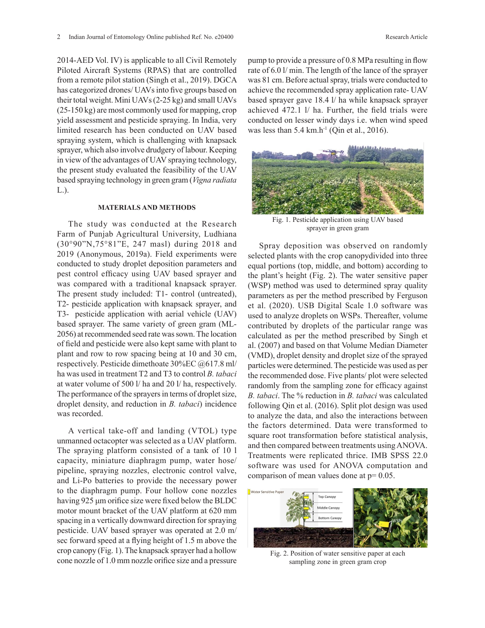2014-AED Vol. IV) is applicable to all Civil Remotely Piloted Aircraft Systems (RPAS) that are controlled from a remote pilot station (Singh et al., 2019). DGCA has categorized drones/ UAVs into five groups based on their total weight. Mini UAVs (2-25 kg) and small UAVs (25-150 kg) are most commonly used for mapping, crop yield assessment and pesticide spraying. In India, very limited research has been conducted on UAV based spraying system, which is challenging with knapsack sprayer, which also involve drudgery of labour. Keeping in view of the advantages of UAV spraying technology, the present study evaluated the feasibility of the UAV based spraying technology in green gram (*Vigna radiata*  L.).

#### **MATERIALS AND METHODS**

The study was conducted at the Research Farm of Punjab Agricultural University, Ludhiana (30°90"N,75°81"E, 247 masl) during 2018 and 2019 (Anonymous, 2019a). Field experiments were conducted to study droplet deposition parameters and pest control efficacy using UAV based sprayer and was compared with a traditional knapsack sprayer. The present study included: T1- control (untreated), T2- pesticide application with knapsack sprayer, and T3- pesticide application with aerial vehicle (UAV) based sprayer. The same variety of green gram (ML-2056) at recommended seed rate was sown. The location of field and pesticide were also kept same with plant to plant and row to row spacing being at 10 and 30 cm, respectively. Pesticide dimethoate 30%EC @617.8 ml/ ha was used in treatment T2 and T3 to control *B. tabaci*  at water volume of 500 l/ ha and 20 l/ ha, respectively. The performance of the sprayers in terms of droplet size, droplet density, and reduction in *B. tabaci*) incidence was recorded.

A vertical take-off and landing (VTOL) type unmanned octacopter was selected as a UAV platform. The spraying platform consisted of a tank of 10 l capacity, miniature diaphragm pump, water hose/ pipeline, spraying nozzles, electronic control valve, and Li-Po batteries to provide the necessary power to the diaphragm pump. Four hollow cone nozzles having 925 μm orifice size were fixed below the BLDC motor mount bracket of the UAV platform at 620 mm spacing in a vertically downward direction for spraying pesticide. UAV based sprayer was operated at 2.0 m/ sec forward speed at a flying height of 1.5 m above the crop canopy (Fig. 1). The knapsack sprayer had a hollow cone nozzle of 1.0 mm nozzle orifice size and a pressure

pump to provide a pressure of 0.8 MPa resulting in flow rate of 6.0 l/ min. The length of the lance of the sprayer was 81 cm. Before actual spray, trials were conducted to achieve the recommended spray application rate- UAV based sprayer gave 18.4 l/ ha while knapsack sprayer achieved 472.1 l/ ha. Further, the field trials were conducted on lesser windy days i.e. when wind speed was less than  $5.4 \text{ km.h}^{-1}$  (Qin et al., 2016).



Fig. 1. Pescare approximation is approximate sprayer in green gram sprayer in  $\frac{1}{2}$ Fig. 1. Pesticide application using UAV based

ame with plant to  $aI. (2007)$  and based on that Volume Median Diameter **0** Treatments were replicated thrice. IMB SPSS 22.0 square root transformation before statistical analysis, **4 0 0** to analyze the data, and also the interactions between following Qin et al. (2016). Split plot design was used randomly from the sampling zone for efficacy against particles were determined. The pesticide was used as per  $\frac{11}{10}$ Spray deposition was observed on randomly selected plants with the crop canopydivided into three equal portions (top, middle, and bottom) according to the plant's height (Fig. 2). The water sensitive paper (WSP) method was used to determined spray quality parameters as per the method prescribed by Ferguson et al. (2020). USB Digital Scale 1.0 software was used to analyze droplets on WSPs. Thereafter, volume contributed by droplets of the particular range was calculated as per the method prescribed by Singh et (VMD), droplet density and droplet size of the sprayed the recommended dose. Five plants/ plot were selected *B. tabaci*. The % reduction in *B. tabaci* was calculated the factors determined. Data were transformed to and then compared between treatments using ANOVA. software was used for ANOVA computation and comparison of mean values done at  $p=0.05$ .



Fig. 2. Position of water sensitive paper at each sampling zone in green gram crop Fig. 2. Position of water sensitive paper at each sampling zone in green gram crop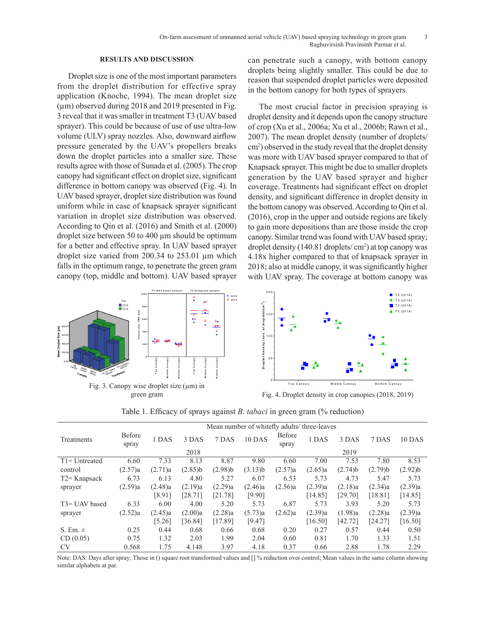## **RESULTS AND DISCUSSION**

Droplet size is one of the most important parameters from the droplet distribution for effective spray application (Knoche, 1994). The mean droplet size  $(\mu m)$  observed during 2018 and 2019 presented in Fig. 3 reveal that it was smaller in treatment T3 (UAV based sprayer). This could be because of use of use ultra-low volume (ULV) spray nozzles. Also, downward airflow pressure generated by the UAV's propellers breaks down the droplet particles into a smaller size. These results agree with those of Sunada et al. (2005). The crop canopy had significant effect on droplet size, significant difference in bottom canopy was observed (Fig. 4). In UAV based sprayer, droplet size distribution was found uniform while in case of knapsack sprayer significant variation in droplet size distribution was observed. According to Qin et al. (2016) and Smith et al. (2000) droplet size between 50 to 400 µm should be optimum for a better and effective spray. In UAV based sprayer droplet size varied from 200.34 to 253.01 µm which falls in the optimum range, to penetrate the green gram canopy (top, middle and bottom). UAV based sprayer with I

can penetrate such a canopy, with bottom canopy droplets being slightly smaller. This could be due to reason that suspended droplet particles were deposited in the bottom canopy for both types of sprayers.

The most crucial factor in precision spraying is droplet density and it depends upon the canopy structure se ultra-low of crop (Xu et al., 2006a; Xu et al., 2006b; Rawn et al., 2007). The mean droplet density (number of droplets/ cm<sup>2</sup>) observed in the study reveal that the droplet density was more with UAV based sprayer compared to that of Knapsack sprayer. This might be due to smaller droplets **8 0 0** generation by the UAV based sprayer and higher coverage. Treatments had significant effect on droplet **6 0 0** density, and significant difference in droplet density in the bottom canopy was observed. According to Qin et al. (2016), crop in the upper and outside regions are likely to gain more depositions than are those inside the crop **0** canopy. Similar trend was found with UAV based spray; droplet density (140.81 droplets/ cm2 ) at top canopy was 4.18x higher compared to that of knapsack sprayer in am 2018; also at middle canopy, it was significantly higher  $\frac{1}{2}$ with UAV spray. The coverage at bottom canopy was y<br>a<br>d<br>P



Table 1. Efficacy of sprays against *B. tabaci* in green gram (% reduction)

| $\sim$<br>Top Middle Baron<br>T3e UAV base<br>$c_{\lambda n_{Opy}}$              | Treatment                                    |         | iddle      |            | <b>Drople</b> |                                                       |         |               |               |            |  |
|----------------------------------------------------------------------------------|----------------------------------------------|---------|------------|------------|---------------|-------------------------------------------------------|---------|---------------|---------------|------------|--|
| Fig. 3. Canopy wise droplet size $(\mu m)$ in                                    |                                              |         |            |            |               | Top Canopy                                            |         | Middle Canopy | Bottom Canopy |            |  |
| green gram                                                                       |                                              |         |            |            |               | Fig. 4. Droplet density in crop canopies (2018, 2019) |         |               |               |            |  |
| Table 1. Efficacy of sprays against <i>B. tabaci</i> in green gram (% reduction) |                                              |         |            |            |               |                                                       |         |               |               |            |  |
|                                                                                  | Mean number of whitefly adults/ three-leaves |         |            |            |               |                                                       |         |               |               |            |  |
| Treatments                                                                       | <b>Before</b><br>spray                       | 1 DAS   | 3 DAS      | 7 DAS      | 10 DAS        | <b>Before</b><br>spray                                | 1 DAS   | 3 DAS         | 7 DAS         | 10 DAS     |  |
|                                                                                  |                                              |         | 2018       |            |               |                                                       |         | 2019          |               |            |  |
| $T1 = Untreated$                                                                 | 6.60                                         | 7.33    | 8.13       | 8.87       | 9.80          | 6.60                                                  | 7.00    | 7.53          | 7.80          | 8.53       |  |
| control                                                                          | (2.57)a                                      | (2.71)a | $(2.85)$ b | $(2.98)$ b | (3.13)b       | (2.57)a                                               | (2.65)a | $(2.74)$ b    | $(2.79)$ b    | $(2.92)$ b |  |
| T2= Knapsack                                                                     | 6.73                                         | 6.13    | 4.80       | 5.27       | 6.07          | 6.53                                                  | 5.73    | 4.73          | 5.47          | 5.73       |  |
| sprayer                                                                          | (2.59)a                                      | (2.48)a | (2.19)a    | (2.29)a    | (2.46)a       | (2.56)a                                               | (2.39)a | (2.18)a       | (2.34)a       | (2.39)a    |  |
|                                                                                  |                                              | [8.91]  | [28.71]    | [21.78]    | [9.90]        |                                                       | [14.85] | [29.70]       | [18.81]       | [14.85]    |  |
| T3= UAV based                                                                    | 6.33                                         | 6.00    | 4.00       | 5.20       | 5.73          | 6.87                                                  | 5.73    | 3.93          | 5.20          | 5.73       |  |
| sprayer                                                                          | (2.52)a                                      | (2.45)a | (2.00)a    | (2.28)a    | (5.73)a       | (2.62)a                                               | (2.39)a | (1.98)a       | (2.28)a       | (2.39)a    |  |
|                                                                                  |                                              | [5.26]  | [36.84]    | [17.89]    | [9.47]        |                                                       | [16.50] | [42.72]       | [24.27]       | [16.50]    |  |
| S. Em. $\pm$                                                                     | 0.25                                         | 0.44    | 0.68       | 0.66       | 0.68          | 0.20                                                  | 0.27    | 0.57          | 0.44          | 0.50       |  |
| CD(0.05)                                                                         | 0.75                                         | 1.32    | 2.03       | 1.99       | 2.04          | 0.60                                                  | 0.81    | 1.70          | 1.33          | 1.51       |  |
| <b>CV</b>                                                                        | 0.568                                        | 1.75    | 4.148      | 3.97       | 4.18          | 0.37                                                  | 0.66    | 2.88          | 1.78          | 2.29       |  |

Note: DAS: Days after spray; Those in () square root transformed values and [] % reduction over control; Mean values in the same column showing similar alphabets at par.